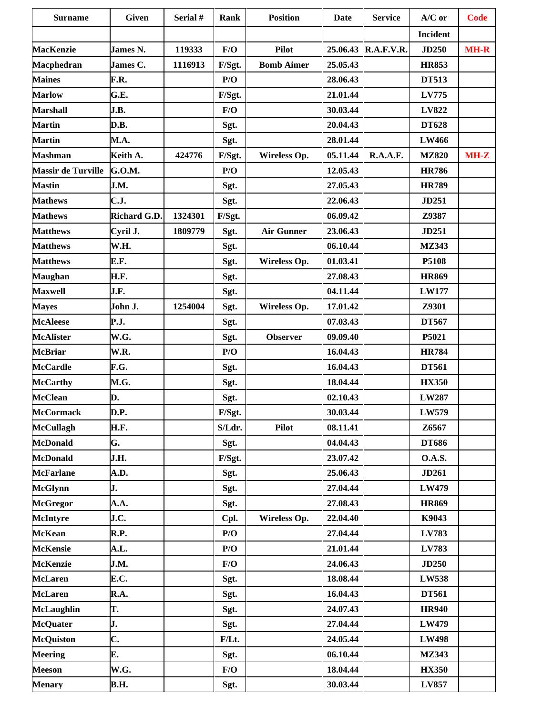| <b>Surname</b>            | <b>Given</b>        | Serial # | Rank     | <b>Position</b>   | <b>Date</b> | <b>Service</b>      | $A/C$ or        | <b>Code</b> |
|---------------------------|---------------------|----------|----------|-------------------|-------------|---------------------|-----------------|-------------|
|                           |                     |          |          |                   |             |                     | <b>Incident</b> |             |
| <b>MacKenzie</b>          | James N.            | 119333   | F/O      | <b>Pilot</b>      |             | 25.06.43 R.A.F.V.R. | <b>JD250</b>    | <b>MH-R</b> |
| Macphedran                | <b>James C.</b>     | 1116913  | F/Sgt.   | <b>Bomb Aimer</b> | 25.05.43    |                     | <b>HR853</b>    |             |
| <b>Maines</b>             | F.R.                |          | P/O      |                   | 28.06.43    |                     | <b>DT513</b>    |             |
| <b>Marlow</b>             | G.E.                |          | F/Sgt.   |                   | 21.01.44    |                     | <b>LV775</b>    |             |
| <b>Marshall</b>           | J.B.                |          | F/O      |                   | 30.03.44    |                     | LV822           |             |
| <b>Martin</b>             | D.B.                |          | Sgt.     |                   | 20.04.43    |                     | <b>DT628</b>    |             |
| <b>Martin</b>             | M.A.                |          | Sgt.     |                   | 28.01.44    |                     | <b>LW466</b>    |             |
| <b>Mashman</b>            | Keith A.            | 424776   | F/Sgt.   | Wireless Op.      | 05.11.44    | R.A.A.F.            | <b>MZ820</b>    | $MH-Z$      |
| <b>Massir de Turville</b> | G.O.M.              |          | P/O      |                   | 12.05.43    |                     | <b>HR786</b>    |             |
| <b>Mastin</b>             | J.M.                |          | Sgt.     |                   | 27.05.43    |                     | <b>HR789</b>    |             |
| <b>Mathews</b>            | C.J.                |          | Sgt.     |                   | 22.06.43    |                     | JD251           |             |
| <b>Mathews</b>            | <b>Richard G.D.</b> | 1324301  | F/Sgt.   |                   | 06.09.42    |                     | Z9387           |             |
| <b>Matthews</b>           | Cyril J.            | 1809779  | Sgt.     | <b>Air Gunner</b> | 23.06.43    |                     | JD251           |             |
| <b>Matthews</b>           | W.H.                |          | Sgt.     |                   | 06.10.44    |                     | <b>MZ343</b>    |             |
| <b>Matthews</b>           | E.F.                |          | Sgt.     | Wireless Op.      | 01.03.41    |                     | P5108           |             |
| <b>Maughan</b>            | H.F.                |          | Sgt.     |                   | 27.08.43    |                     | <b>HR869</b>    |             |
| <b>Maxwell</b>            | J.F.                |          | Sgt.     |                   | 04.11.44    |                     | <b>LW177</b>    |             |
| <b>Mayes</b>              | John J.             | 1254004  | Sgt.     | Wireless Op.      | 17.01.42    |                     | Z9301           |             |
| <b>McAleese</b>           | <b>P.J.</b>         |          | Sgt.     |                   | 07.03.43    |                     | <b>DT567</b>    |             |
| <b>McAlister</b>          | W.G.                |          | Sgt.     | <b>Observer</b>   | 09.09.40    |                     | P5021           |             |
| <b>McBriar</b>            | W.R.                |          | P/O      |                   | 16.04.43    |                     | <b>HR784</b>    |             |
| <b>McCardle</b>           | F.G.                |          | Sgt.     |                   | 16.04.43    |                     | <b>DT561</b>    |             |
| <b>McCarthy</b>           | M.G.                |          | Sgt.     |                   | 18.04.44    |                     | <b>HX350</b>    |             |
| <b>McClean</b>            | D.                  |          | Sgt.     |                   | 02.10.43    |                     | LW287           |             |
| <b>McCormack</b>          | D.P.                |          | F/Sgt.   |                   | 30.03.44    |                     | LW579           |             |
| <b>McCullagh</b>          | <b>H.F.</b>         |          | S/Ldr.   | <b>Pilot</b>      | 08.11.41    |                     | Z6567           |             |
| <b>McDonald</b>           | G.                  |          | Sgt.     |                   | 04.04.43    |                     | <b>DT686</b>    |             |
| <b>McDonald</b>           | J.H.                |          | F/Sgt.   |                   | 23.07.42    |                     | <b>O.A.S.</b>   |             |
| <b>McFarlane</b>          | A.D.                |          | Sgt.     |                   | 25.06.43    |                     | <b>JD261</b>    |             |
| <b>McGlynn</b>            | J.                  |          | Sgt.     |                   | 27.04.44    |                     | LW479           |             |
| <b>McGregor</b>           | A.A.                |          | Sgt.     |                   | 27.08.43    |                     | <b>HR869</b>    |             |
| <b>McIntyre</b>           | J.C.                |          | Cpl.     | Wireless Op.      | 22.04.40    |                     | K9043           |             |
| <b>McKean</b>             | R.P.                |          | P/O      |                   | 27.04.44    |                     | LV783           |             |
| <b>McKensie</b>           | A.L.                |          | P/O      |                   | 21.01.44    |                     | LV783           |             |
| <b>McKenzie</b>           | J.M.                |          | F/O      |                   | 24.06.43    |                     | <b>JD250</b>    |             |
| <b>McLaren</b>            | E.C.                |          | Sgt.     |                   | 18.08.44    |                     | <b>LW538</b>    |             |
| <b>McLaren</b>            | R.A.                |          | Sgt.     |                   | 16.04.43    |                     | <b>DT561</b>    |             |
| <b>McLaughlin</b>         | T.                  |          | Sgt.     |                   | 24.07.43    |                     | <b>HR940</b>    |             |
| <b>McQuater</b>           | J.                  |          | Sgt.     |                   | 27.04.44    |                     | LW479           |             |
| <b>McQuiston</b>          | C.                  |          | $F/Lt$ . |                   | 24.05.44    |                     | <b>LW498</b>    |             |
| <b>Meering</b>            | E.                  |          | Sgt.     |                   | 06.10.44    |                     | <b>MZ343</b>    |             |
| <b>Meeson</b>             | W.G.                |          | F/O      |                   | 18.04.44    |                     | <b>HX350</b>    |             |
| <b>Menary</b>             | <b>B.H.</b>         |          | Sgt.     |                   | 30.03.44    |                     | LV857           |             |